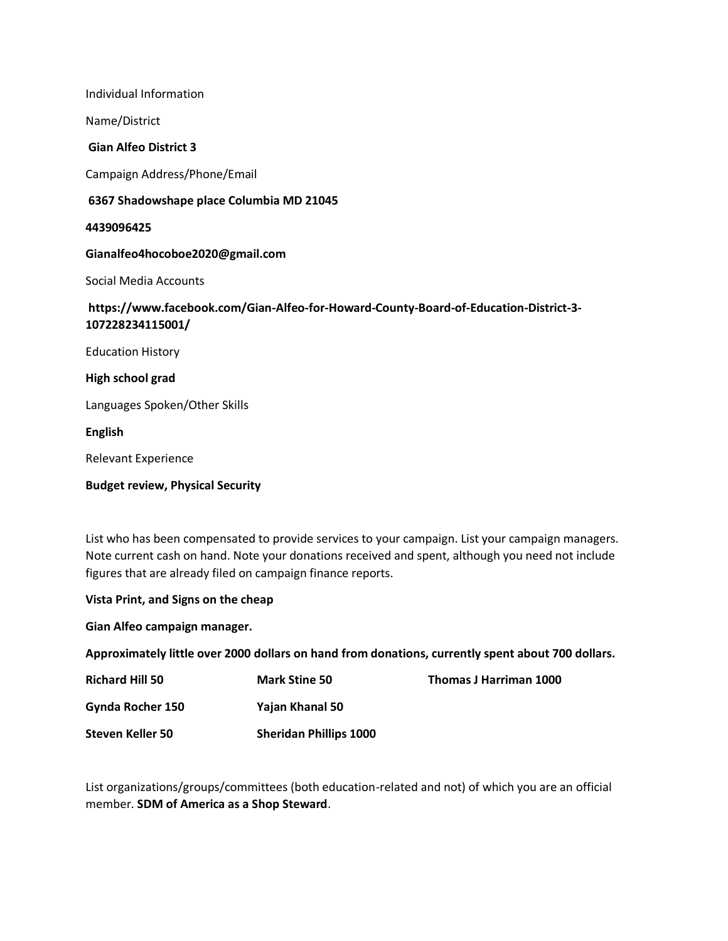Individual Information

Name/District

## **Gian Alfeo District 3**

Campaign Address/Phone/Email

## **6367 Shadowshape place Columbia MD 21045**

**4439096425**

**Gianalfeo4hocoboe2020@gmail.com**

Social Media Accounts

# **https://www.facebook.com/Gian-Alfeo-for-Howard-County-Board-of-Education-District-3- 107228234115001/**

Education History

**High school grad**

Languages Spoken/Other Skills

**English** 

Relevant Experience

**Budget review, Physical Security**

List who has been compensated to provide services to your campaign. List your campaign managers. Note current cash on hand. Note your donations received and spent, although you need not include figures that are already filed on campaign finance reports.

**Vista Print, and Signs on the cheap**

**Gian Alfeo campaign manager.**

**Approximately little over 2000 dollars on hand from donations, currently spent about 700 dollars.**

| <b>Richard Hill 50</b> | <b>Mark Stine 50</b>          | Thomas J Harriman 1000 |
|------------------------|-------------------------------|------------------------|
| Gynda Rocher 150       | Yajan Khanal 50               |                        |
| Steven Keller 50       | <b>Sheridan Phillips 1000</b> |                        |

List organizations/groups/committees (both education-related and not) of which you are an official member. **SDM of America as a Shop Steward**.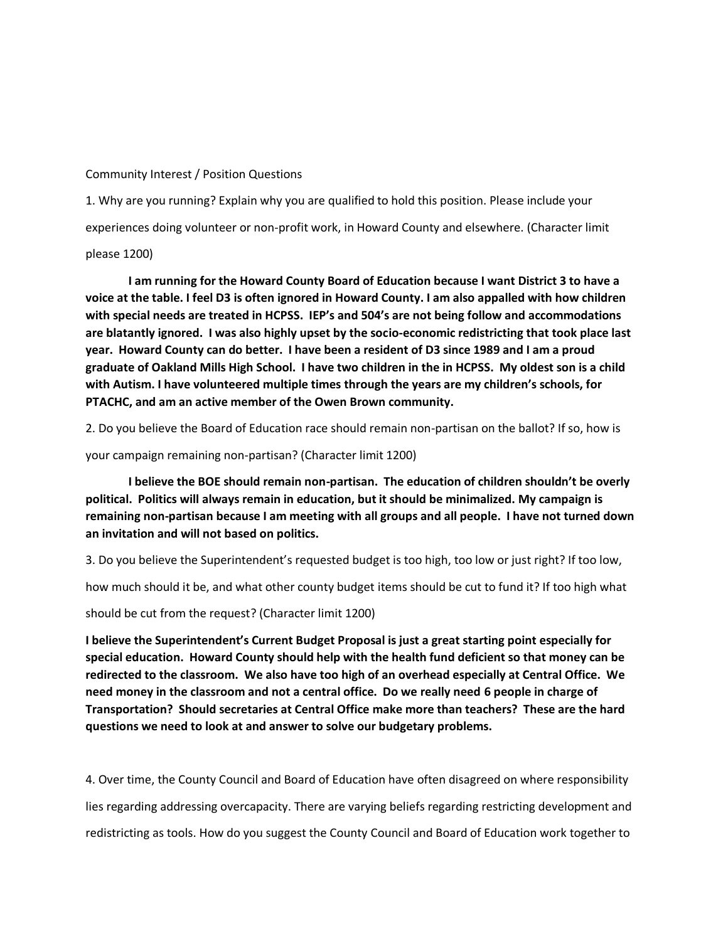### Community Interest / Position Questions

1. Why are you running? Explain why you are qualified to hold this position. Please include your experiences doing volunteer or non-profit work, in Howard County and elsewhere. (Character limit

### please 1200)

**I am running for the Howard County Board of Education because I want District 3 to have a voice at the table. I feel D3 is often ignored in Howard County. I am also appalled with how children with special needs are treated in HCPSS. IEP's and 504's are not being follow and accommodations are blatantly ignored. I was also highly upset by the socio-economic redistricting that took place last year. Howard County can do better. I have been a resident of D3 since 1989 and I am a proud graduate of Oakland Mills High School. I have two children in the in HCPSS. My oldest son is a child with Autism. I have volunteered multiple times through the years are my children's schools, for PTACHC, and am an active member of the Owen Brown community.**

2. Do you believe the Board of Education race should remain non-partisan on the ballot? If so, how is

your campaign remaining non-partisan? (Character limit 1200)

**I believe the BOE should remain non-partisan. The education of children shouldn't be overly political. Politics will always remain in education, but it should be minimalized. My campaign is remaining non-partisan because I am meeting with all groups and all people. I have not turned down an invitation and will not based on politics.**

3. Do you believe the Superintendent's requested budget is too high, too low or just right? If too low,

how much should it be, and what other county budget items should be cut to fund it? If too high what

should be cut from the request? (Character limit 1200)

**I believe the Superintendent's Current Budget Proposal is just a great starting point especially for special education. Howard County should help with the health fund deficient so that money can be redirected to the classroom. We also have too high of an overhead especially at Central Office. We need money in the classroom and not a central office. Do we really need 6 people in charge of Transportation? Should secretaries at Central Office make more than teachers? These are the hard questions we need to look at and answer to solve our budgetary problems.**

4. Over time, the County Council and Board of Education have often disagreed on where responsibility lies regarding addressing overcapacity. There are varying beliefs regarding restricting development and redistricting as tools. How do you suggest the County Council and Board of Education work together to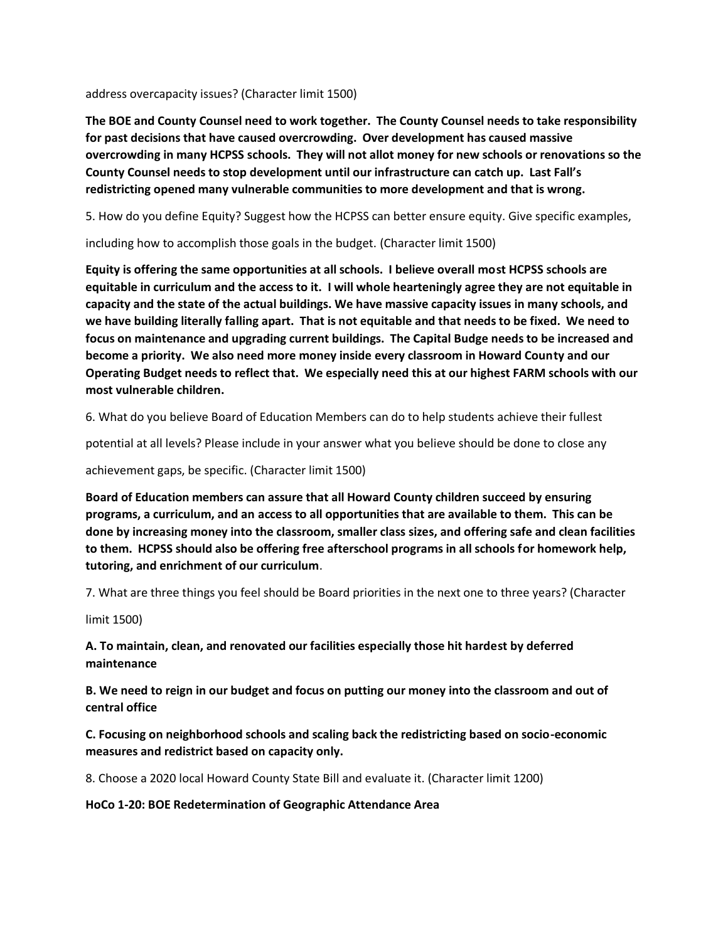address overcapacity issues? (Character limit 1500)

**The BOE and County Counsel need to work together. The County Counsel needs to take responsibility for past decisions that have caused overcrowding. Over development has caused massive overcrowding in many HCPSS schools. They will not allot money for new schools or renovations so the County Counsel needs to stop development until our infrastructure can catch up. Last Fall's redistricting opened many vulnerable communities to more development and that is wrong.**

5. How do you define Equity? Suggest how the HCPSS can better ensure equity. Give specific examples,

including how to accomplish those goals in the budget. (Character limit 1500)

**Equity is offering the same opportunities at all schools. I believe overall most HCPSS schools are equitable in curriculum and the access to it. I will whole hearteningly agree they are not equitable in capacity and the state of the actual buildings. We have massive capacity issues in many schools, and we have building literally falling apart. That is not equitable and that needs to be fixed. We need to focus on maintenance and upgrading current buildings. The Capital Budge needs to be increased and become a priority. We also need more money inside every classroom in Howard County and our Operating Budget needs to reflect that. We especially need this at our highest FARM schools with our most vulnerable children.** 

6. What do you believe Board of Education Members can do to help students achieve their fullest

potential at all levels? Please include in your answer what you believe should be done to close any

achievement gaps, be specific. (Character limit 1500)

**Board of Education members can assure that all Howard County children succeed by ensuring programs, a curriculum, and an access to all opportunities that are available to them. This can be done by increasing money into the classroom, smaller class sizes, and offering safe and clean facilities to them. HCPSS should also be offering free afterschool programs in all schools for homework help, tutoring, and enrichment of our curriculum**.

7. What are three things you feel should be Board priorities in the next one to three years? (Character

limit 1500)

**A. To maintain, clean, and renovated our facilities especially those hit hardest by deferred maintenance**

**B. We need to reign in our budget and focus on putting our money into the classroom and out of central office**

**C. Focusing on neighborhood schools and scaling back the redistricting based on socio-economic measures and redistrict based on capacity only.**

8. Choose a 2020 local Howard County State Bill and evaluate it. (Character limit 1200)

**HoCo 1-20: BOE Redetermination of Geographic Attendance Area**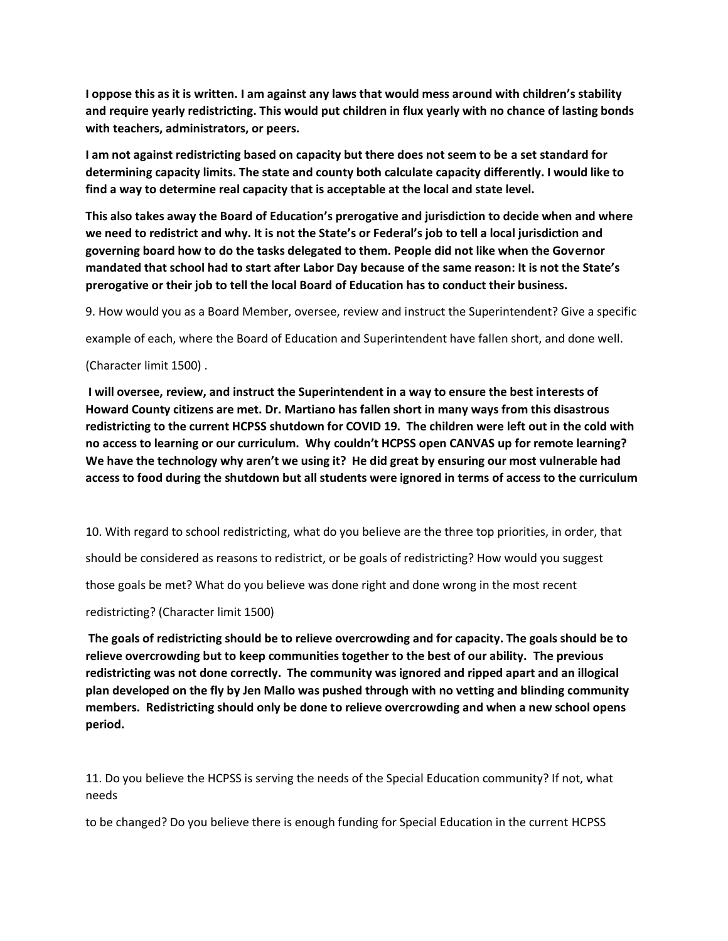**I oppose this as it is written. I am against any laws that would mess around with children's stability and require yearly redistricting. This would put children in flux yearly with no chance of lasting bonds with teachers, administrators, or peers.** 

**I am not against redistricting based on capacity but there does not seem to be a set standard for determining capacity limits. The state and county both calculate capacity differently. I would like to find a way to determine real capacity that is acceptable at the local and state level.**

**This also takes away the Board of Education's prerogative and jurisdiction to decide when and where we need to redistrict and why. It is not the State's or Federal's job to tell a local jurisdiction and governing board how to do the tasks delegated to them. People did not like when the Governor mandated that school had to start after Labor Day because of the same reason: It is not the State's prerogative or their job to tell the local Board of Education has to conduct their business.**

9. How would you as a Board Member, oversee, review and instruct the Superintendent? Give a specific

example of each, where the Board of Education and Superintendent have fallen short, and done well.

(Character limit 1500) .

**I will oversee, review, and instruct the Superintendent in a way to ensure the best interests of Howard County citizens are met. Dr. Martiano has fallen short in many ways from this disastrous redistricting to the current HCPSS shutdown for COVID 19. The children were left out in the cold with no access to learning or our curriculum. Why couldn't HCPSS open CANVAS up for remote learning? We have the technology why aren't we using it? He did great by ensuring our most vulnerable had access to food during the shutdown but all students were ignored in terms of access to the curriculum**

10. With regard to school redistricting, what do you believe are the three top priorities, in order, that

should be considered as reasons to redistrict, or be goals of redistricting? How would you suggest

those goals be met? What do you believe was done right and done wrong in the most recent

redistricting? (Character limit 1500)

**The goals of redistricting should be to relieve overcrowding and for capacity. The goals should be to relieve overcrowding but to keep communities together to the best of our ability. The previous redistricting was not done correctly. The community was ignored and ripped apart and an illogical plan developed on the fly by Jen Mallo was pushed through with no vetting and blinding community members. Redistricting should only be done to relieve overcrowding and when a new school opens period.**

11. Do you believe the HCPSS is serving the needs of the Special Education community? If not, what needs

to be changed? Do you believe there is enough funding for Special Education in the current HCPSS